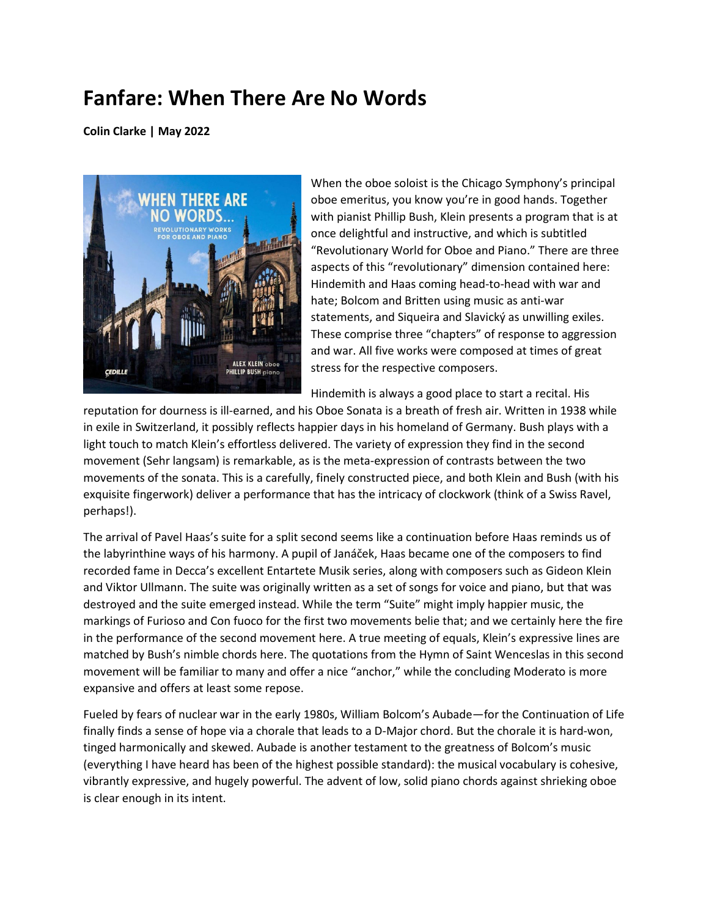## **Fanfare: When There Are No Words**

**Colin Clarke | May 2022**



When the oboe soloist is the Chicago Symphony's principal oboe emeritus, you know you're in good hands. Together with pianist Phillip Bush, Klein presents a program that is at once delightful and instructive, and which is subtitled "Revolutionary World for Oboe and Piano." There are three aspects of this "revolutionary" dimension contained here: Hindemith and Haas coming head-to-head with war and hate; Bolcom and Britten using music as anti-war statements, and Siqueira and Slavický as unwilling exiles. These comprise three "chapters" of response to aggression and war. All five works were composed at times of great stress for the respective composers.

Hindemith is always a good place to start a recital. His

reputation for dourness is ill-earned, and his Oboe Sonata is a breath of fresh air. Written in 1938 while in exile in Switzerland, it possibly reflects happier days in his homeland of Germany. Bush plays with a light touch to match Klein's effortless delivered. The variety of expression they find in the second movement (Sehr langsam) is remarkable, as is the meta-expression of contrasts between the two movements of the sonata. This is a carefully, finely constructed piece, and both Klein and Bush (with his exquisite fingerwork) deliver a performance that has the intricacy of clockwork (think of a Swiss Ravel, perhaps!).

The arrival of Pavel Haas's suite for a split second seems like a continuation before Haas reminds us of the labyrinthine ways of his harmony. A pupil of Janáček, Haas became one of the composers to find recorded fame in Decca's excellent Entartete Musik series, along with composers such as Gideon Klein and Viktor Ullmann. The suite was originally written as a set of songs for voice and piano, but that was destroyed and the suite emerged instead. While the term "Suite" might imply happier music, the markings of Furioso and Con fuoco for the first two movements belie that; and we certainly here the fire in the performance of the second movement here. A true meeting of equals, Klein's expressive lines are matched by Bush's nimble chords here. The quotations from the Hymn of Saint Wenceslas in this second movement will be familiar to many and offer a nice "anchor," while the concluding Moderato is more expansive and offers at least some repose.

Fueled by fears of nuclear war in the early 1980s, William Bolcom's Aubade—for the Continuation of Life finally finds a sense of hope via a chorale that leads to a D-Major chord. But the chorale it is hard-won, tinged harmonically and skewed. Aubade is another testament to the greatness of Bolcom's music (everything I have heard has been of the highest possible standard): the musical vocabulary is cohesive, vibrantly expressive, and hugely powerful. The advent of low, solid piano chords against shrieking oboe is clear enough in its intent.